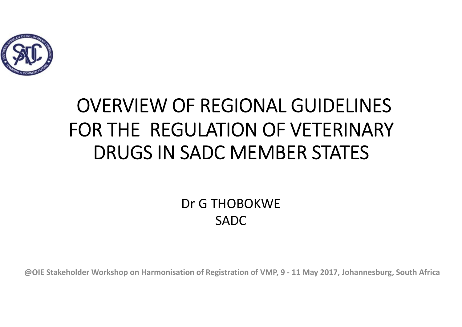

# OVERVIEW OF REGIONAL GUIDELINES FOR THE REGULATION OF VETERINARY DRUGS IN SADC MEMBER STATES

Dr G THOBOKWESADC

**@OIE Stakeholder Workshop on Harmonisation of Registration of VMP, 9 - 11 May 2017, Johannesburg, South Africa**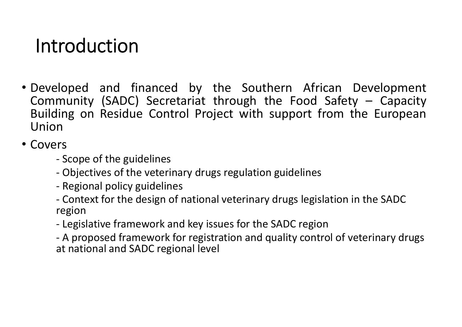## Introduction

• Developed and financed by the Southern African Development Community (SADC) Secretariat through the Food Safety – Capacity Building on Residue Control Project with support from the European Union

• Covers

- Scope of the guidelines
- Objectives of the veterinary drugs regulation guidelines
- Regional policy guidelines
- Context for the design of national veterinary drugs legislation in the SADC region
- Legislative framework and key issues for the SADC region
- A proposed framework for registration and quality control of veterinary drugs at national and SADC regional level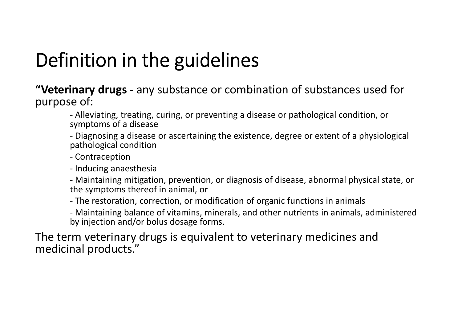# Definition in the guidelines

**"Veterinary drugs -** any substance or combination of substances used for purpose of:

- Alleviating, treating, curing, or preventing a disease or pathological condition, or symptoms of a disease

- Diagnosing a disease or ascertaining the existence, degree or extent of a physiological pathological condition

- Contraception

- Inducing anaesthesia

- Maintaining mitigation, prevention, or diagnosis of disease, abnormal physical state, or the symptoms thereof in animal, or

- The restoration, correction, or modification of organic functions in animals

- Maintaining balance of vitamins, minerals, and other nutrients in animals, administered by injection and/or bolus dosage forms.

The term veterinary drugs is equivalent to veterinary medicines and medicinal products."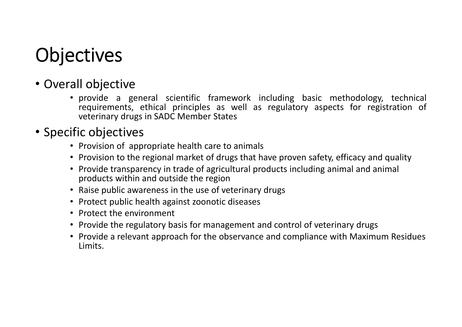## **Objectives**

- Overall objective
	- provide <sup>a</sup> general scientific framework including basic methodology, technical requirements, ethical principles as well as regulatory aspects for registration of veterinary drugs in SADC Member States

#### • Specific objectives

- Provision of appropriate health care to animals
- Provision to the regional market of drugs that have proven safety, efficacy and quality
- Provide transparency in trade of agricultural products including animal and animal products within and outside the region
- Raise public awareness in the use of veterinary drugs
- Protect public health against zoonotic diseases
- Protect the environment
- Provide the regulatory basis for management and control of veterinary drugs
- Provide a relevant approach for the observance and compliance with Maximum Residues Limits.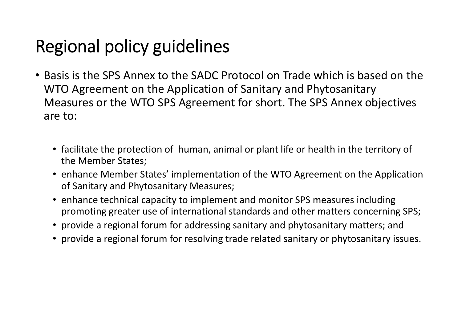### Regional policy guidelines

- Basis is the SPS Annex to the SADC Protocol on Trade which is based on the WTO Agreement on the Application of Sanitary and Phytosanitary Measures or the WTO SPS Agreement for short. The SPS Annex objectives are to:
	- facilitate the protection of human, animal or plant life or health in the territory of the Member States;
	- enhance Member States' implementation of the WTO Agreement on the Application of Sanitary and Phytosanitary Measures;
	- enhance technical capacity to implement and monitor SPS measures including promoting greater use of international standards and other matters concerning SPS;
	- provide a regional forum for addressing sanitary and phytosanitary matters; and
	- provide a regional forum for resolving trade related sanitary or phytosanitary issues.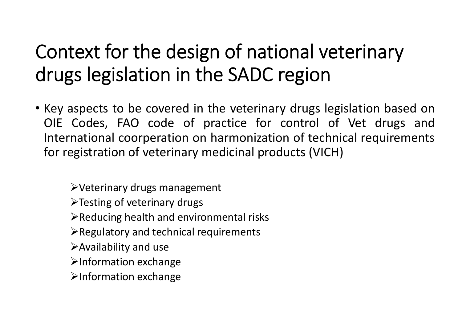## Context for the design of national veterinary drugs legislation in the SADC region

• Key aspects to be covered in the veterinary drugs legislation based on OIE Codes, FAO code of practice for control of Vet drugs and International coorperation on harmonization of technical requirements for registration of veterinary medicinal products (VICH)

Veterinary drugs management

>Testing of veterinary drugs

 $\triangleright$  Reducing health and environmental risks

- $\triangleright$  Regulatory and technical requirements
- Availability and use
- $\blacktriangleright$ Information exchange
- >Information exchange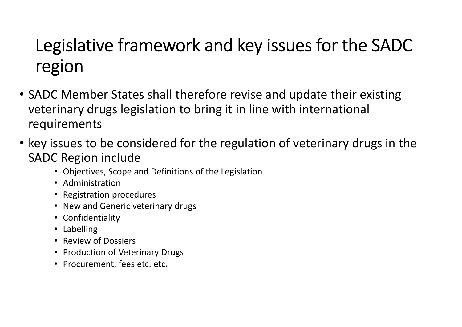### Legislative framework and key issues for the SADC region

- SADC Member States shall therefore revise and update their existing veterinary drugs legislation to bring it in line with international requirements
- key issues to be considered for the regulation of veterinary drugs in the SADC Region include
	- Objectives, Scope and Definitions of the Legislation
	- Administration
	- Registration procedures
	- New and Generic veterinary drugs
	- Confidentiality
	- Labelling
	- Review of Dossiers
	- Production of Veterinary Drugs
	- Procurement, fees etc. etc**.**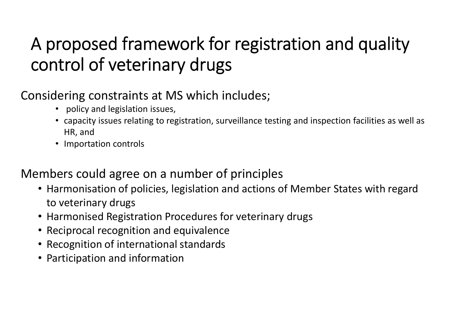### A proposed framework for registration and quality control of veterinary drugs

#### Considering constraints at MS which includes;

- policy and legislation issues,
- capacity issues relating to registration, surveillance testing and inspection facilities as well as HR, and
- Importation controls

#### Members could agree on a number of principles

- Harmonisation of policies, legislation and actions of Member States with regard to veterinary drugs
- Harmonised Registration Procedures for veterinary drugs
- Reciprocal recognition and equivalence
- Recognition of international standards
- Participation and information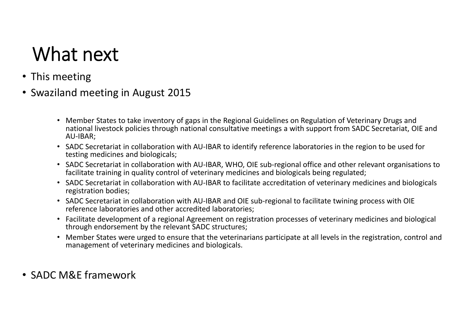## What next

- This meeting
- Swaziland meeting in August 2015
	- Member States to take inventory of gaps in the Regional Guidelines on Regulation of Veterinary Drugs and national livestock policies through national consultative meetings a with support from SADC Secretariat, OIE and AU-IBAR;
	- SADC Secretariat in collaboration with AU-IBAR to identify reference laboratories in the region to be used for testing medicines and biologicals;
	- SADC Secretariat in collaboration with AU-IBAR, WHO, OIE sub-regional office and other relevant organisations to facilitate training in quality control of veterinary medicines and biologicals being regulated;
	- SADC Secretariat in collaboration with AU-IBAR to facilitate accreditation of veterinary medicines and biologicals registration bodies;
	- SADC Secretariat in collaboration with AU-IBAR and OIE sub-regional to facilitate twining process with OIE reference laboratories and other accredited laboratories;
	- Facilitate development of a regional Agreement on registration processes of veterinary medicines and biological through endorsement by the relevant SADC structures;
	- Member States were urged to ensure that the veterinarians participate at all levels in the registration, control and management of veterinary medicines and biologicals.
- SADC M&E framework